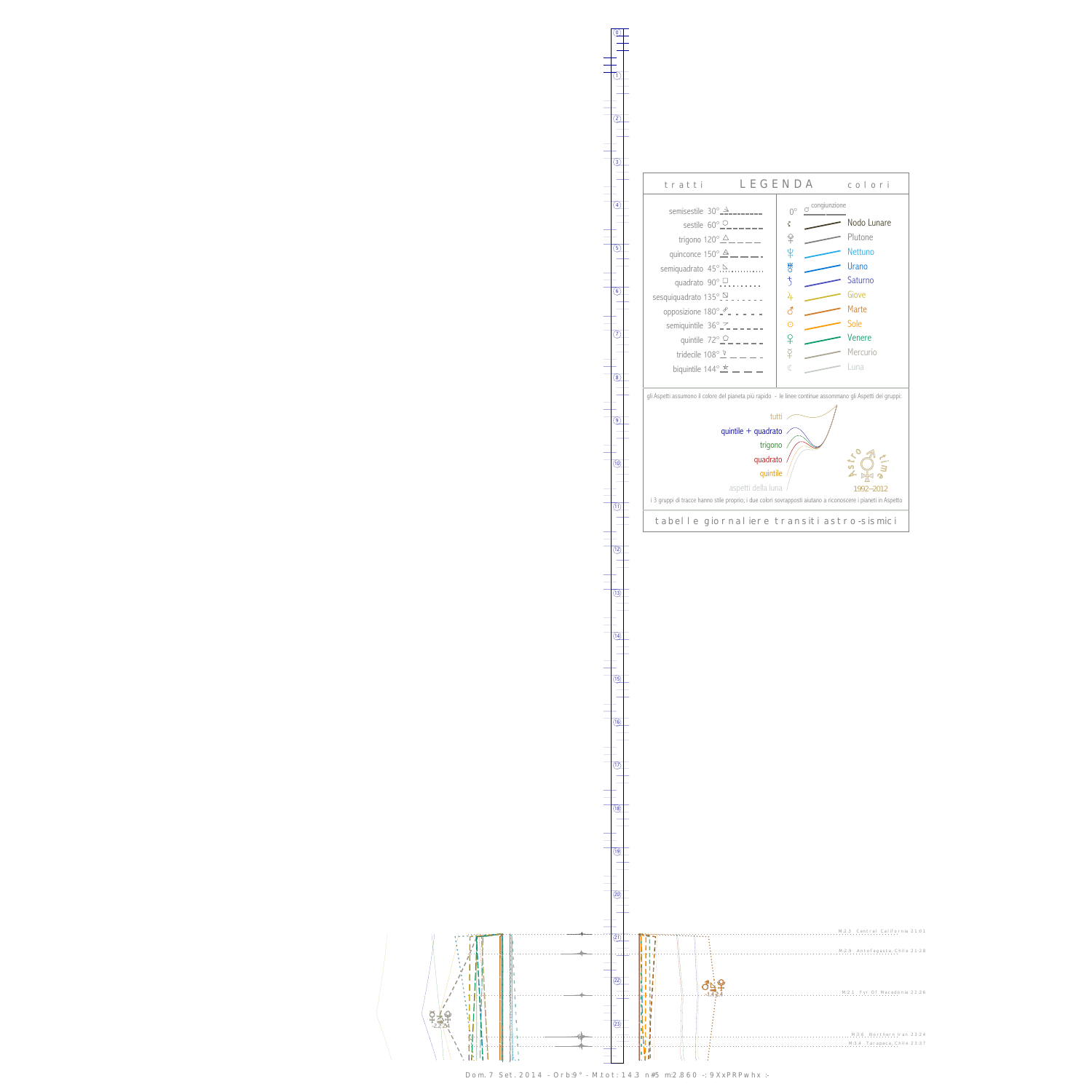PY<br>Pr يم<br>2.2-